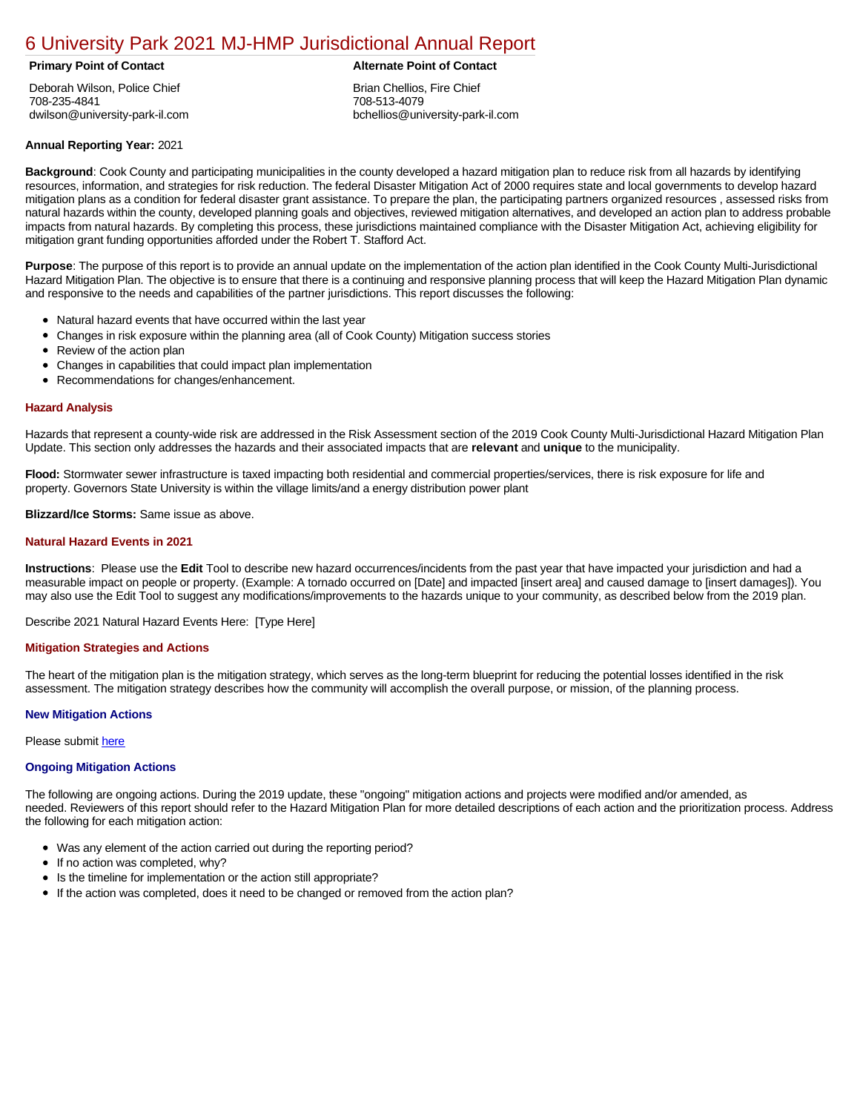# [6 University Park 2021 MJ-HMP Jurisdictional Annual Report](https://universitypark.isc-cemp.com/Cemp/Details?id=8326671)

# **Primary Point of Contact Alternate Point of Contact**

Deborah Wilson, Police Chief 708-235-4841 dwilson@university-park-il.com

Brian Chellios, Fire Chief 708-513-4079 bchellios@university-park-il.com

# **Annual Reporting Year:** 2021

**Background**: Cook County and participating municipalities in the county developed a hazard mitigation plan to reduce risk from all hazards by identifying resources, information, and strategies for risk reduction. The federal Disaster Mitigation Act of 2000 requires state and local governments to develop hazard mitigation plans as a condition for federal disaster grant assistance. To prepare the plan, the participating partners organized resources , assessed risks from natural hazards within the county, developed planning goals and objectives, reviewed mitigation alternatives, and developed an action plan to address probable impacts from natural hazards. By completing this process, these jurisdictions maintained compliance with the Disaster Mitigation Act, achieving eligibility for mitigation grant funding opportunities afforded under the Robert T. Stafford Act.

**Purpose**: The purpose of this report is to provide an annual update on the implementation of the action plan identified in the Cook County Multi-Jurisdictional Hazard Mitigation Plan. The objective is to ensure that there is a continuing and responsive planning process that will keep the Hazard Mitigation Plan dynamic and responsive to the needs and capabilities of the partner jurisdictions. This report discusses the following:

- Natural hazard events that have occurred within the last year
- Changes in risk exposure within the planning area (all of Cook County) Mitigation success stories
- $\bullet$ Review of the action plan
- Changes in capabilities that could impact plan implementation
- Recommendations for changes/enhancement.

# **Hazard Analysis**

Hazards that represent a county-wide risk are addressed in the Risk Assessment section of the 2019 Cook County Multi-Jurisdictional Hazard Mitigation Plan Update. This section only addresses the hazards and their associated impacts that are **relevant** and **unique** to the municipality.

**Flood:** Stormwater sewer infrastructure is taxed impacting both residential and commercial properties/services, there is risk exposure for life and property. Governors State University is within the village limits/and a energy distribution power plant

**Blizzard/Ice Storms:** Same issue as above.

## **Natural Hazard Events in 2021**

**Instructions**: Please use the **Edit** Tool to describe new hazard occurrences/incidents from the past year that have impacted your jurisdiction and had a measurable impact on people or property. (Example: A tornado occurred on [Date] and impacted [insert area] and caused damage to [insert damages]). You may also use the Edit Tool to suggest any modifications/improvements to the hazards unique to your community, as described below from the 2019 plan.

Describe 2021 Natural Hazard Events Here: [Type Here]

## **Mitigation Strategies and Actions**

The heart of the mitigation plan is the mitigation strategy, which serves as the long-term blueprint for reducing the potential losses identified in the risk assessment. The mitigation strategy describes how the community will accomplish the overall purpose, or mission, of the planning process.

## **New Mitigation Actions**

Please submit [here](https://integratedsolutions.wufoo.com/forms/mg21jvf0jn639o/)

## **Ongoing Mitigation Actions**

The following are ongoing actions. During the 2019 update, these "ongoing" mitigation actions and projects were modified and/or amended, as needed. Reviewers of this report should refer to the Hazard Mitigation Plan for more detailed descriptions of each action and the prioritization process. Address the following for each mitigation action:

- Was any element of the action carried out during the reporting period?
- If no action was completed, why?
- Is the timeline for implementation or the action still appropriate?  $\bullet$
- If the action was completed, does it need to be changed or removed from the action plan?